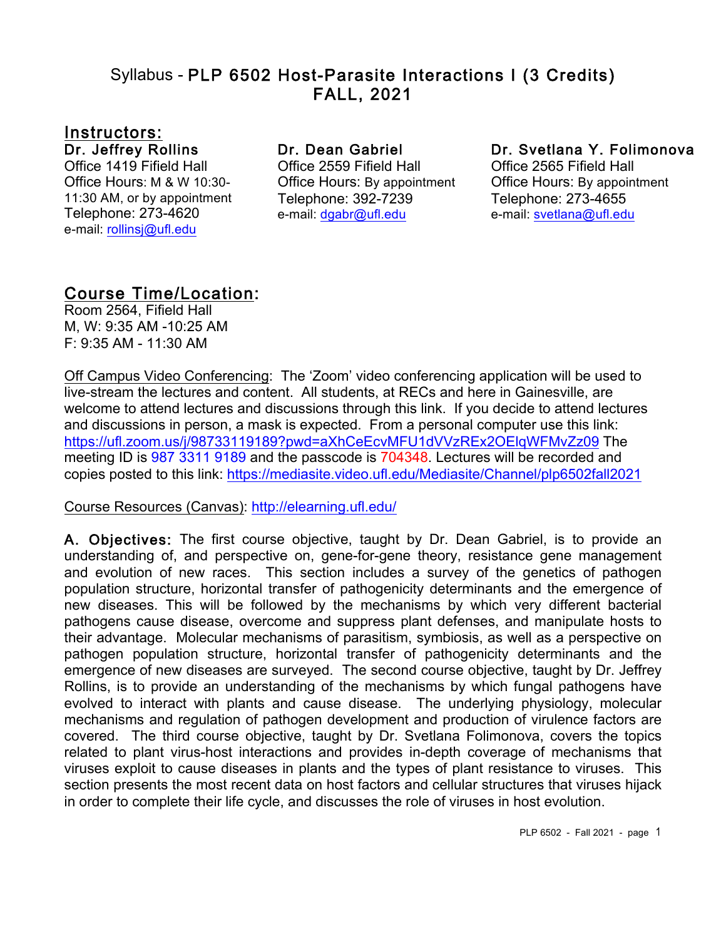### Syllabus - PLP 6502 Host-Parasite Interactions I (3 Credits) FALL, 2021

# <u>Instructors:</u><br>Dr. Jeffrey Rollins

Office 1419 Fifield Hall Office Hours: M & W 10:30- 11:30 AM, or by appointment Telephone: 273-4620 e-mail: rollinsj@ufl.edu

#### Dr. Dean Gabriel

Office 2559 Fifield Hall Office Hours: By appointment Telephone: 392-7239 e-mail: dgabr@ufl.edu

#### Dr. Svetlana Y. Folimonova

Office 2565 Fifield Hall Office Hours: By appointment Telephone: 273-4655 e-mail: svetlana@ufl.edu

# **Course Time/Location:**<br>Room 2564, Fifield Hall

M, W: 9:35 AM -10:25 AM F: 9:35 AM - 11:30 AM

Off Campus Video Conferencing: The 'Zoom' video conferencing application will be used to live-stream the lectures and content. All students, at RECs and here in Gainesville, are welcome to attend lectures and discussions through this link. If you decide to attend lectures and discussions in person, a mask is expected. From a personal computer use this link: https://ufl.zoom.us/j/98733119189?pwd=aXhCeEcvMFU1dVVzREx2OElqWFMvZz09 The meeting ID is 987 3311 9189 and the passcode is 704348. Lectures will be recorded and copies posted to this link: https://mediasite.video.ufl.edu/Mediasite/Channel/plp6502fall2021

#### Course Resources (Canvas): http://elearning.ufl.edu/

A. Objectives: The first course objective, taught by Dr. Dean Gabriel, is to provide an understanding of, and perspective on, gene-for-gene theory, resistance gene management and evolution of new races. This section includes a survey of the genetics of pathogen population structure, horizontal transfer of pathogenicity determinants and the emergence of new diseases. This will be followed by the mechanisms by which very different bacterial pathogens cause disease, overcome and suppress plant defenses, and manipulate hosts to their advantage. Molecular mechanisms of parasitism, symbiosis, as well as a perspective on pathogen population structure, horizontal transfer of pathogenicity determinants and the emergence of new diseases are surveyed. The second course objective, taught by Dr. Jeffrey Rollins, is to provide an understanding of the mechanisms by which fungal pathogens have evolved to interact with plants and cause disease. The underlying physiology, molecular mechanisms and regulation of pathogen development and production of virulence factors are covered. The third course objective, taught by Dr. Svetlana Folimonova, covers the topics related to plant virus-host interactions and provides in-depth coverage of mechanisms that viruses exploit to cause diseases in plants and the types of plant resistance to viruses. This section presents the most recent data on host factors and cellular structures that viruses hijack in order to complete their life cycle, and discusses the role of viruses in host evolution.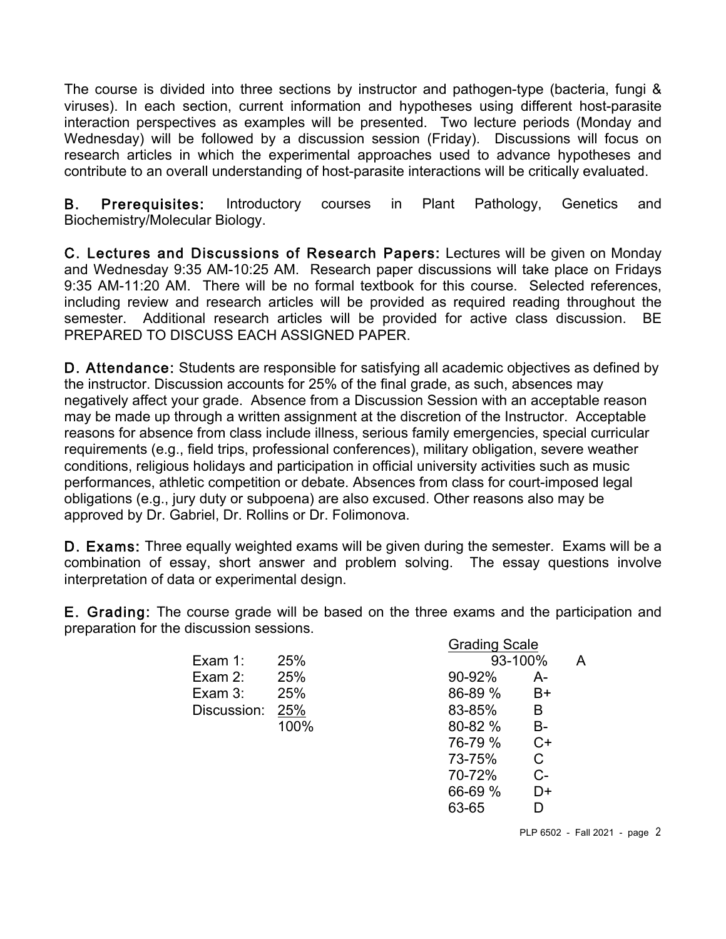The course is divided into three sections by instructor and pathogen-type (bacteria, fungi & viruses). In each section, current information and hypotheses using different host-parasite interaction perspectives as examples will be presented. Two lecture periods (Monday and Wednesday) will be followed by a discussion session (Friday). Discussions will focus on research articles in which the experimental approaches used to advance hypotheses and contribute to an overall understanding of host-parasite interactions will be critically evaluated.

B. Prerequisites: Introductory courses in Plant Pathology, Genetics and Biochemistry/Molecular Biology.

C. Lectures and Discussions of Research Papers: Lectures will be given on Monday and Wednesday 9:35 AM-10:25 AM. Research paper discussions will take place on Fridays 9:35 AM-11:20 AM. There will be no formal textbook for this course. Selected references, including review and research articles will be provided as required reading throughout the semester. Additional research articles will be provided for active class discussion. BE PREPARED TO DISCUSS EACH ASSIGNED PAPER.

D. Attendance: Students are responsible for satisfying all academic objectives as defined by the instructor. Discussion accounts for 25% of the final grade, as such, absences may negatively affect your grade. Absence from a Discussion Session with an acceptable reason may be made up through a written assignment at the discretion of the Instructor. Acceptable reasons for absence from class include illness, serious family emergencies, special curricular requirements (e.g., field trips, professional conferences), military obligation, severe weather conditions, religious holidays and participation in official university activities such as music performances, athletic competition or debate. Absences from class for court-imposed legal obligations (e.g., jury duty or subpoena) are also excused. Other reasons also may be approved by Dr. Gabriel, Dr. Rollins or Dr. Folimonova.

D. Exams: Three equally weighted exams will be given during the semester. Exams will be a combination of essay, short answer and problem solving. The essay questions involve interpretation of data or experimental design.

E. Grading: The course grade will be based on the three exams and the participation and preparation for the discussion sessions.

|                 |      | <b>Grading Scale</b> |       |   |
|-----------------|------|----------------------|-------|---|
| Exam 1:         | 25%  | 93-100%              |       | А |
| Exam 2:         | 25%  | 90-92%               | А-    |   |
| Exam 3:         | 25%  | 86-89 %              | B+    |   |
| Discussion: 25% |      | 83-85%               | B     |   |
|                 | 100% | 80-82 %              | $B -$ |   |
|                 |      | 76-79 %              | $C+$  |   |
|                 |      | 73-75%               | C     |   |
|                 |      | 70-72%               | င-    |   |

66-69 % D+ 63-65 D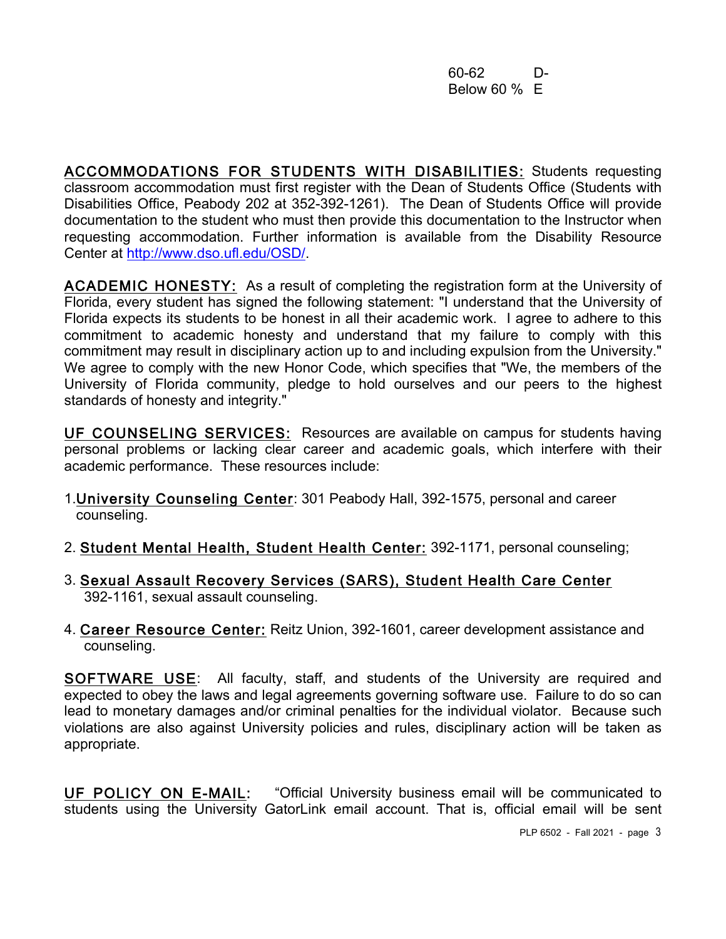60-62 D-Below 60 % E

ACCOMMODATIONS FOR STUDENTS WITH DISABILITIES: Students requesting classroom accommodation must first register with the Dean of Students Office (Students with Disabilities Office, Peabody 202 at 352-392-1261). The Dean of Students Office will provide documentation to the student who must then provide this documentation to the Instructor when requesting accommodation. Further information is available from the Disability Resource Center at http://www.dso.ufl.edu/OSD/.

ACADEMIC HONESTY: As a result of completing the registration form at the University of Florida, every student has signed the following statement: "I understand that the University of Florida expects its students to be honest in all their academic work. I agree to adhere to this commitment to academic honesty and understand that my failure to comply with this commitment may result in disciplinary action up to and including expulsion from the University." We agree to comply with the new Honor Code, which specifies that "We, the members of the University of Florida community, pledge to hold ourselves and our peers to the highest standards of honesty and integrity."

UF COUNSELING SERVICES: Resources are available on campus for students having personal problems or lacking clear career and academic goals, which interfere with their academic performance. These resources include:

- 1.University Counseling Center: 301 Peabody Hall, 392-1575, personal and career counseling.
- 2. Student Mental Health, Student Health Center: 392-1171, personal counseling;
- 3. Sexual Assault Recovery Services (SARS), Student Health Care Center 392-1161, sexual assault counseling.
- 4. Career Resource Center: Reitz Union, 392-1601, career development assistance and counseling.

SOFTWARE USE: All faculty, staff, and students of the University are required and expected to obey the laws and legal agreements governing software use. Failure to do so can lead to monetary damages and/or criminal penalties for the individual violator. Because such violations are also against University policies and rules, disciplinary action will be taken as appropriate.

UF POLICY ON E-MAIL: "Official University business email will be communicated to students using the University GatorLink email account. That is, official email will be sent

PLP 6502 - Fall 2021 - page 3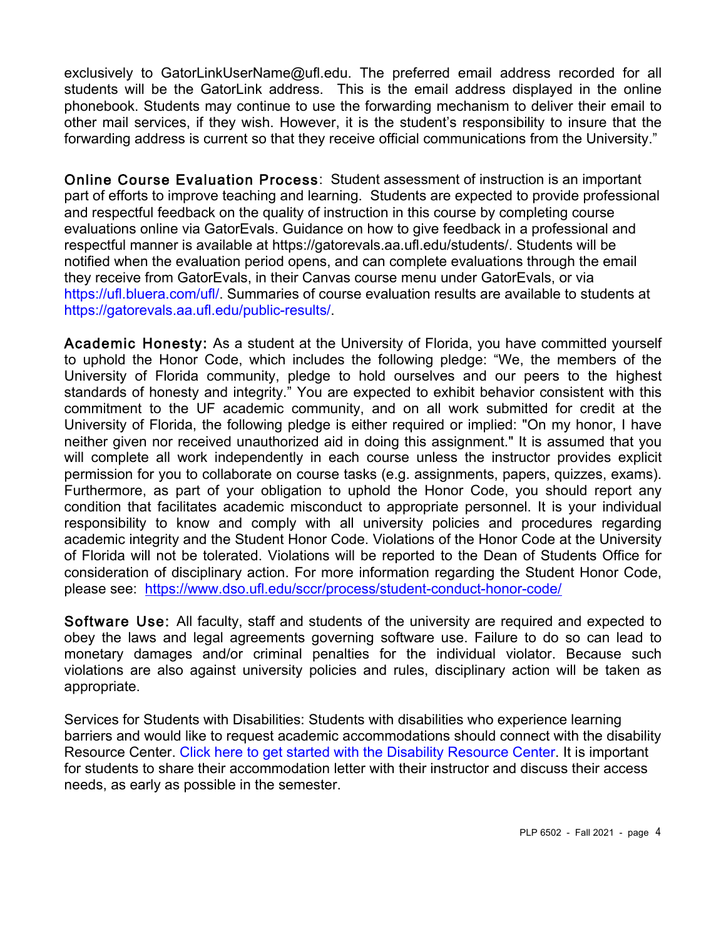exclusively to GatorLinkUserName@ufl.edu. The preferred email address recorded for all students will be the GatorLink address. This is the email address displayed in the online phonebook. Students may continue to use the forwarding mechanism to deliver their email to other mail services, if they wish. However, it is the student's responsibility to insure that the forwarding address is current so that they receive official communications from the University."

Online Course Evaluation Process: Student assessment of instruction is an important part of efforts to improve teaching and learning. Students are expected to provide professional and respectful feedback on the quality of instruction in this course by completing course evaluations online via GatorEvals. Guidance on how to give feedback in a professional and respectful manner is available at https://gatorevals.aa.ufl.edu/students/. Students will be notified when the evaluation period opens, and can complete evaluations through the email they receive from GatorEvals, in their Canvas course menu under GatorEvals, or via https://ufl.bluera.com/ufl/. Summaries of course evaluation results are available to students at https://gatorevals.aa.ufl.edu/public-results/.

Academic Honesty: As a student at the University of Florida, you have committed yourself to uphold the Honor Code, which includes the following pledge: "We, the members of the University of Florida community, pledge to hold ourselves and our peers to the highest standards of honesty and integrity." You are expected to exhibit behavior consistent with this commitment to the UF academic community, and on all work submitted for credit at the University of Florida, the following pledge is either required or implied: "On my honor, I have neither given nor received unauthorized aid in doing this assignment." It is assumed that you will complete all work independently in each course unless the instructor provides explicit permission for you to collaborate on course tasks (e.g. assignments, papers, quizzes, exams). Furthermore, as part of your obligation to uphold the Honor Code, you should report any condition that facilitates academic misconduct to appropriate personnel. It is your individual responsibility to know and comply with all university policies and procedures regarding academic integrity and the Student Honor Code. Violations of the Honor Code at the University of Florida will not be tolerated. Violations will be reported to the Dean of Students Office for consideration of disciplinary action. For more information regarding the Student Honor Code, please see: https://www.dso.ufl.edu/sccr/process/student-conduct-honor-code/

Software Use: All faculty, staff and students of the university are required and expected to obey the laws and legal agreements governing software use. Failure to do so can lead to monetary damages and/or criminal penalties for the individual violator. Because such violations are also against university policies and rules, disciplinary action will be taken as appropriate.

Services for Students with Disabilities: Students with disabilities who experience learning barriers and would like to request academic accommodations should connect with the disability Resource Center. Click here to get started with the Disability Resource Center. It is important for students to share their accommodation letter with their instructor and discuss their access needs, as early as possible in the semester.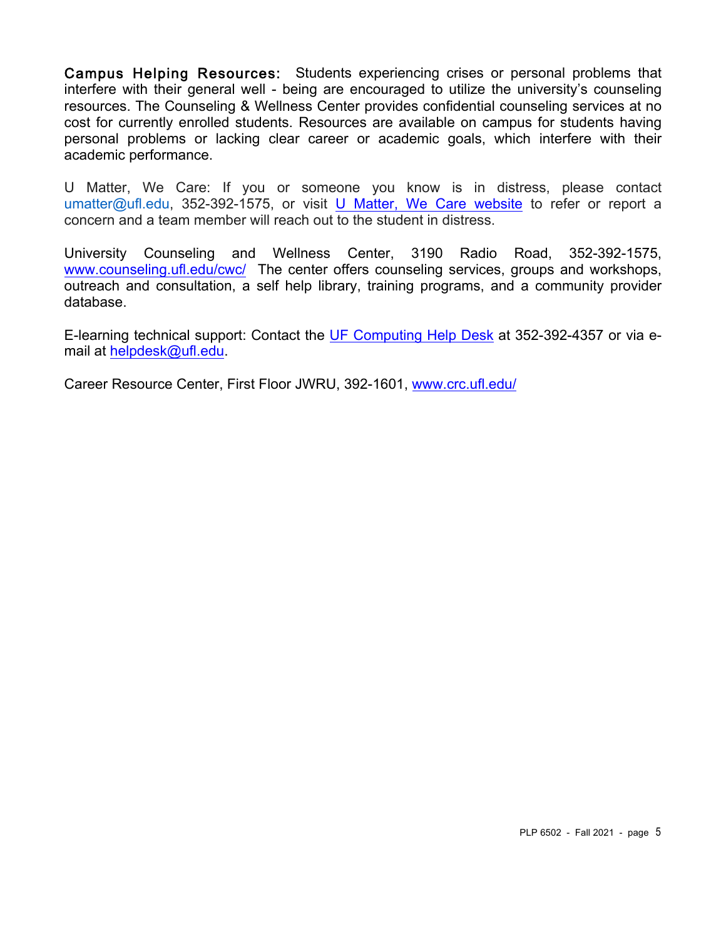Campus Helping Resources: Students experiencing crises or personal problems that interfere with their general well - being are encouraged to utilize the university's counseling resources. The Counseling & Wellness Center provides confidential counseling services at no cost for currently enrolled students. Resources are available on campus for students having personal problems or lacking clear career or academic goals, which interfere with their academic performance.

U Matter, We Care: If you or someone you know is in distress, please contact umatter@ufl.edu, 352-392-1575, or visit U Matter, We Care website to refer or report a concern and a team member will reach out to the student in distress.

University Counseling and Wellness Center, 3190 Radio Road, 352-392-1575, www.counseling.ufl.edu/cwc/ The center offers counseling services, groups and workshops, outreach and consultation, a self help library, training programs, and a community provider database.

E-learning technical support: Contact the UF Computing Help Desk at 352-392-4357 or via email at helpdesk@ufl.edu.

Career Resource Center, First Floor JWRU, 392-1601, www.crc.ufl.edu/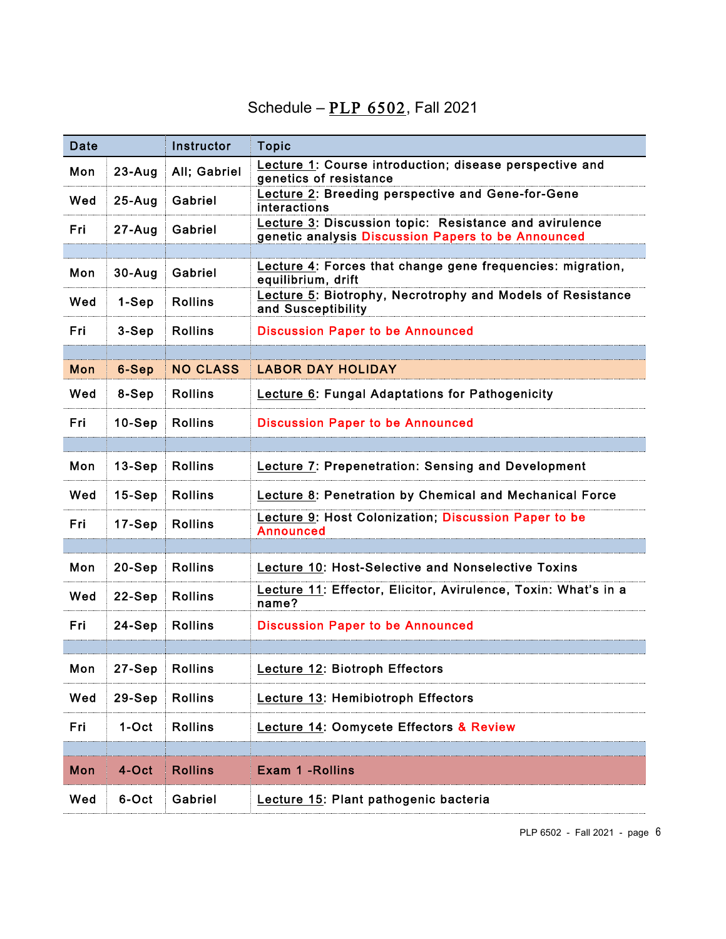### Schedule –  $PLP$  6502, Fall 2021

| Date       |            | Instructor      | <b>Topic</b>                                                                                                 |
|------------|------------|-----------------|--------------------------------------------------------------------------------------------------------------|
| Mon        | $23 - Aug$ | All; Gabriel    | Lecture 1: Course introduction; disease perspective and<br>genetics of resistance                            |
| Wed        | $25-Aug$   | Gabriel         | Lecture 2: Breeding perspective and Gene-for-Gene<br>interactions                                            |
| Fri        | $27 - Aug$ | Gabriel         | Lecture 3: Discussion topic: Resistance and avirulence<br>genetic analysis Discussion Papers to be Announced |
|            |            |                 |                                                                                                              |
| Mon        | $30 - Aug$ | Gabriel         | Lecture 4: Forces that change gene frequencies: migration,<br>equilibrium, drift                             |
| Wed        | 1-Sep      | <b>Rollins</b>  | Lecture 5: Biotrophy, Necrotrophy and Models of Resistance<br>and Susceptibility                             |
| Fri        | $3-Sep$    | <b>Rollins</b>  | <b>Discussion Paper to be Announced</b>                                                                      |
|            |            |                 |                                                                                                              |
| Mon        | 6-Sep      | <b>NO CLASS</b> | <b>LABOR DAY HOLIDAY</b>                                                                                     |
| Wed        | 8-Sep      | <b>Rollins</b>  | Lecture 6: Fungal Adaptations for Pathogenicity                                                              |
| <u>Fri</u> | $10-Sep$   | <b>Rollins</b>  | <b>Discussion Paper to be Announced</b>                                                                      |
|            |            |                 |                                                                                                              |
| Mon        | $13-Sep$   | <b>Rollins</b>  | Lecture 7: Prepenetration: Sensing and Development                                                           |
| Wed        | $15-Sep$   | <b>Rollins</b>  | Lecture 8: Penetration by Chemical and Mechanical Force                                                      |
| Fri        | $17-Sep$   | <b>Rollins</b>  | Lecture 9: Host Colonization; Discussion Paper to be<br><b>Announced</b>                                     |
|            |            |                 |                                                                                                              |
| Mon        | $20-Sep$   | <b>Rollins</b>  | Lecture 10: Host-Selective and Nonselective Toxins                                                           |
| Wed        | $22-Sep$   | <b>Rollins</b>  | Lecture 11: Effector, Elicitor, Avirulence, Toxin: What's in a<br>name?                                      |
| Fri        | 24-Sep     | <b>Rollins</b>  | <b>Discussion Paper to be Announced</b>                                                                      |
|            |            |                 |                                                                                                              |
| Mon        | $27-Sep$   | <b>Rollins</b>  | <b>Lecture 12: Biotroph Effectors</b>                                                                        |
| Wed        | $29-Sep$   | <b>Rollins</b>  | Lecture 13: Hemibiotroph Effectors                                                                           |
| Fri        | 1-Oct      | <b>Rollins</b>  | <b>Lecture 14: Oomycete Effectors &amp; Review</b>                                                           |
|            |            |                 |                                                                                                              |
| Mon        | 4-Oct      | <b>Rollins</b>  | <b>Exam 1 - Rollins</b>                                                                                      |
| Wed        | 6-Oct      | Gabriel         | Lecture 15: Plant pathogenic bacteria                                                                        |

PLP 6502 - Fall 2021 - page 6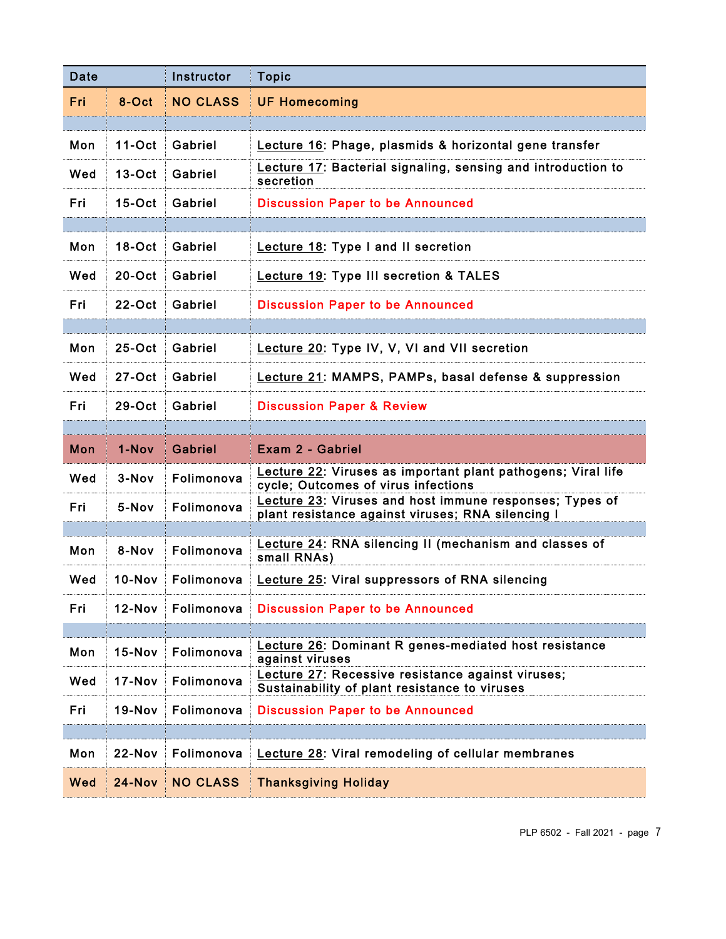| Date |               | Instructor      | <b>Topic</b>                                                                                                 |
|------|---------------|-----------------|--------------------------------------------------------------------------------------------------------------|
| Fri  | 8-Oct         | <b>NO CLASS</b> | <b>UF Homecoming</b>                                                                                         |
|      |               |                 |                                                                                                              |
| Mon  | $11-Oct$      | Gabriel         | Lecture 16: Phage, plasmids & horizontal gene transfer                                                       |
| Wed  | $13-Oct$      | Gabriel         | Lecture 17: Bacterial signaling, sensing and introduction to<br>secretion                                    |
| Fri  | $15-Oct$      | Gabriel         | <b>Discussion Paper to be Announced</b>                                                                      |
|      |               |                 |                                                                                                              |
| Mon  | $18-Oct$      | Gabriel         | Lecture 18: Type I and II secretion                                                                          |
| Wed  | $20$ -Oct     | Gabriel         | <b>Lecture 19: Type III secretion &amp; TALES</b>                                                            |
| Fri  | $22-Oct$      | Gabriel         | <b>Discussion Paper to be Announced</b>                                                                      |
|      |               |                 |                                                                                                              |
| Mon  | $25-Oct$      | Gabriel         | Lecture 20: Type IV, V, VI and VII secretion                                                                 |
| Wed  | $27 - Oct$    | Gabriel         | Lecture 21: MAMPS, PAMPs, basal defense & suppression                                                        |
| Fri  | $29-Oct$      | Gabriel         | <b>Discussion Paper &amp; Review</b>                                                                         |
|      |               |                 |                                                                                                              |
| Mon  | 1-Nov         | Gabriel         | Exam 2 - Gabriel                                                                                             |
| Wed  | $3-Nov$       | Folimonova      | Lecture 22: Viruses as important plant pathogens; Viral life<br>cycle; Outcomes of virus infections          |
| Fri  | 5-Nov         | Folimonova      | Lecture 23: Viruses and host immune responses; Types of<br>plant resistance against viruses; RNA silencing I |
|      |               |                 |                                                                                                              |
| Mon  | 8-Nov         | Folimonova      | Lecture 24: RNA silencing II (mechanism and classes of<br>small RNAs)                                        |
| Wed  | $10-Nov$      | Folimonova      | Lecture 25: Viral suppressors of RNA silencing                                                               |
| Fri  | 12-Nov        | Folimonova      | <b>Discussion Paper to be Announced</b>                                                                      |
|      |               |                 |                                                                                                              |
| Mon  | $15-Nov$      | Folimonova      | <b>Lecture 26: Dominant R genes-mediated host resistance</b><br>against viruses                              |
| Wed  | 17-Nov        | Folimonova      | Lecture 27: Recessive resistance against viruses;<br>Sustainability of plant resistance to viruses           |
| Fri  | <b>19-Nov</b> | Folimonova      | <b>Discussion Paper to be Announced</b>                                                                      |
|      |               |                 |                                                                                                              |
| Mon  | 22-Nov        | Folimonova      | <b>Lecture 28: Viral remodeling of cellular membranes</b>                                                    |
| Wed  | $24 - Nov$    | <b>NO CLASS</b> | <b>Thanksgiving Holiday</b>                                                                                  |